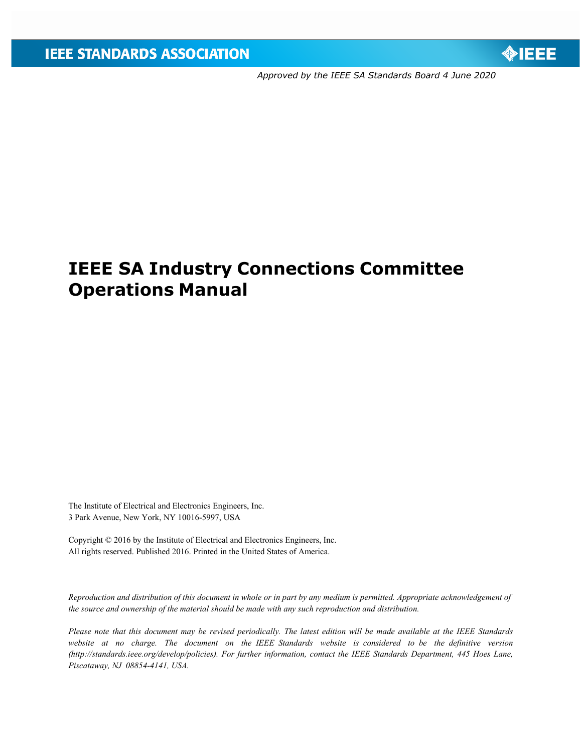

*Approved by the IEEE SA Standards Board 4 June 2020*

# **IEEE SA Industry Connections Committee Operations Manual**

The Institute of Electrical and Electronics Engineers, Inc. 3 Park Avenue, New York, NY 10016-5997, USA

Copyright © 2016 by the Institute of Electrical and Electronics Engineers, Inc. All rights reserved. Published 2016. Printed in the United States of America.

*Reproduction and distribution of this document in whole or in part by any medium is permitted. Appropriate acknowledgement of the source and ownership of the material should be made with any such reproduction and distribution.*

Please note that this document may be revised periodically. The latest edition will be made available at the IEEE Standards *website at no charge. The document on the IEEE Standards website is considered to be the definitive versio[n](http://standards.ieee.org/develop/policies)) [\(http://standards.ieee.org/develop/policies\).](http://standards.ieee.org/develop/policies)) For further information, contact the IEEE Standards Department, 445 Hoes Lane, Piscataway, NJ 08854-4141, USA.*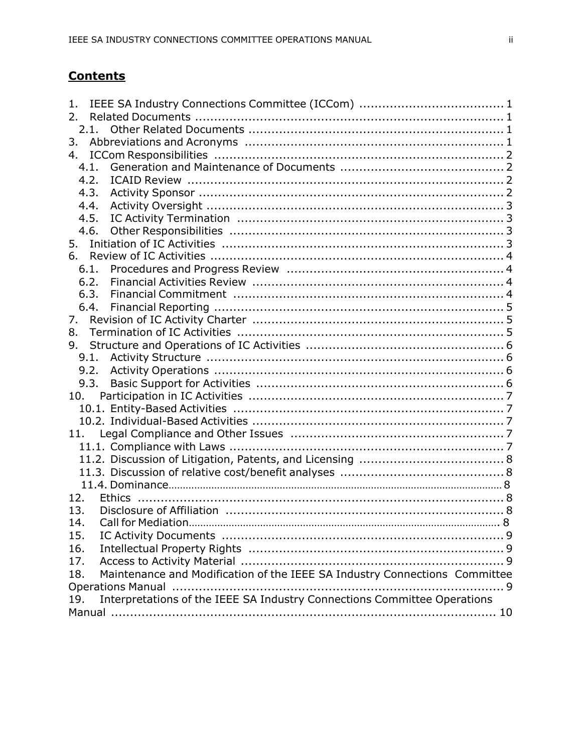# **Contents**

| 1.  |      |                                                                                                                |  |
|-----|------|----------------------------------------------------------------------------------------------------------------|--|
| 2.  |      |                                                                                                                |  |
|     | 2.1. |                                                                                                                |  |
| 3.  |      |                                                                                                                |  |
| 4.  |      |                                                                                                                |  |
|     | 4.1. |                                                                                                                |  |
|     | 4.2. |                                                                                                                |  |
|     | 4.3. |                                                                                                                |  |
|     | 4.4. |                                                                                                                |  |
|     | 4.5. |                                                                                                                |  |
|     | 4.6. |                                                                                                                |  |
| 5.  |      |                                                                                                                |  |
| 6.  |      |                                                                                                                |  |
|     | 6.1. |                                                                                                                |  |
|     | 6.2. |                                                                                                                |  |
|     | 6.3. | Financial Commitment (1000) (1000) (1000) (1000) (1000) (1000) (1000) (1000) (1000) (1000) (1000) (1000) (1000 |  |
|     | 6.4. |                                                                                                                |  |
| 7.  |      |                                                                                                                |  |
| 8.  |      |                                                                                                                |  |
| 9.  |      |                                                                                                                |  |
|     |      |                                                                                                                |  |
|     |      |                                                                                                                |  |
|     | 9.3. |                                                                                                                |  |
| 10. |      |                                                                                                                |  |
|     |      |                                                                                                                |  |
|     |      |                                                                                                                |  |
| 11. |      |                                                                                                                |  |
|     |      |                                                                                                                |  |
|     |      |                                                                                                                |  |
|     |      |                                                                                                                |  |
|     |      |                                                                                                                |  |
| 12. |      |                                                                                                                |  |
| 13. |      |                                                                                                                |  |
| 14  |      | <b>Call for Mediation</b>                                                                                      |  |
| 15. |      |                                                                                                                |  |
| 16. |      |                                                                                                                |  |
| 17. |      |                                                                                                                |  |
| 18. |      | Maintenance and Modification of the IEEE SA Industry Connections Committee                                     |  |
|     |      |                                                                                                                |  |
| 19. |      | Interpretations of the IEEE SA Industry Connections Committee Operations                                       |  |
|     |      |                                                                                                                |  |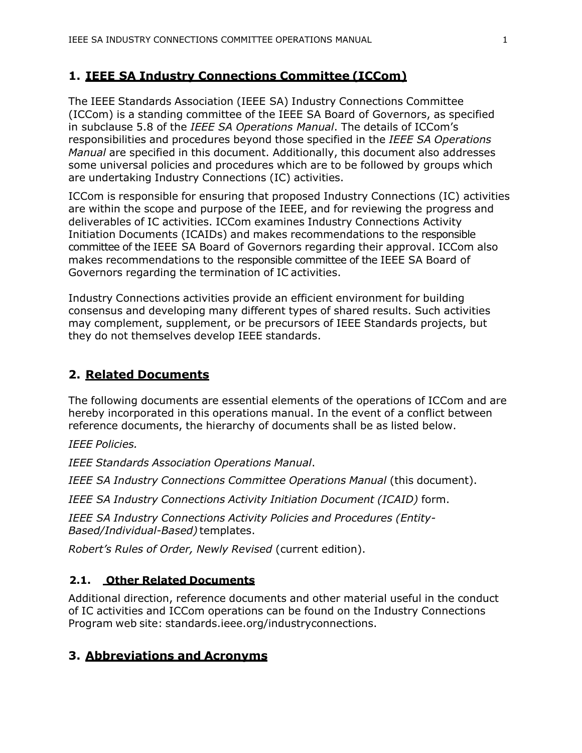### <span id="page-2-0"></span>**1. IEEE SA Industry Connections Committee (ICCom)**

The IEEE Standards Association (IEEE SA) Industry Connections Committee (ICCom) is a standing committee of the IEEE SA Board of Governors, as specified in subclause 5.8 of the *IEEE SA Operations Manual*. The details of ICCom's responsibilities and procedures beyond those specified in the *IEEE SA Operations Manual* are specified in this document. Additionally, this document also addresses some universal policies and procedures which are to be followed by groups which are undertaking Industry Connections (IC) activities.

ICCom is responsible for ensuring that proposed Industry Connections (IC) activities are within the scope and purpose of the IEEE, and for reviewing the progress and deliverables of IC activities. ICCom examines Industry Connections Activity Initiation Documents (ICAIDs) and makes recommendations to the responsible committee of the IEEE SA Board of Governors regarding their approval. ICCom also makes recommendations to the responsible committee of the IEEE SA Board of Governors regarding the termination of IC activities.

Industry Connections activities provide an efficient environment for building consensus and developing many different types of shared results. Such activities may complement, supplement, or be precursors of IEEE Standards projects, but they do not themselves develop IEEE standards.

### <span id="page-2-1"></span>**2. Related Documents**

The following documents are essential elements of the operations of ICCom and are hereby incorporated in this operations manual. In the event of a conflict between reference documents, the hierarchy of documents shall be as listed below.

*IEEE Policies.*

*IEEE Standards Association Operations Manual*.

*IEEE SA Industry Connections Committee Operations Manual* (this document).

*IEEE SA Industry Connections Activity Initiation Document (ICAID)* form.

*IEEE SA Industry Connections Activity Policies and Procedures (Entity-Based/Individual-Based)* templates.

*Robert's Rules of Order, Newly Revised* (current edition).

### <span id="page-2-2"></span>**2.1. Other Related Documents**

Additional direction, reference documents and other material useful in the conduct of IC activities and ICCom operations can be found on the Industry Connections Program web site: standards.ieee.org/industryconnections.

# <span id="page-2-3"></span>**3. Abbreviations and Acronyms**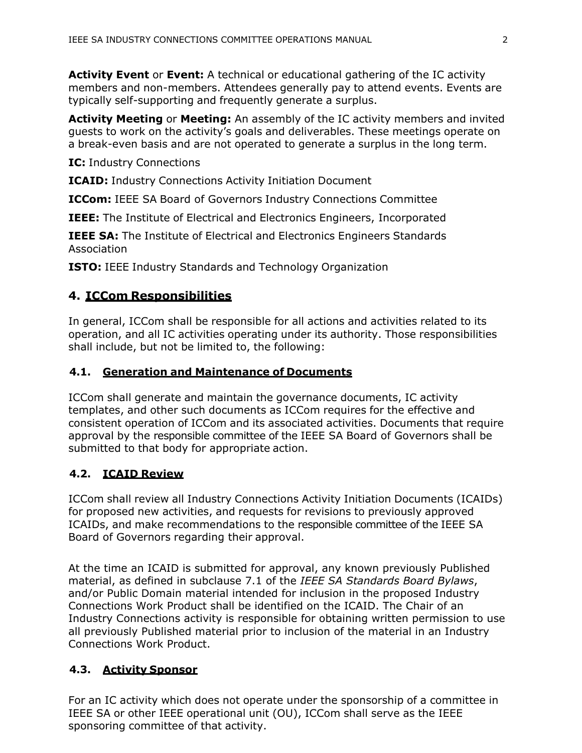**Activity Event** or **Event:** A technical or educational gathering of the IC activity members and non-members. Attendees generally pay to attend events. Events are typically self-supporting and frequently generate a surplus.

**Activity Meeting** or **Meeting:** An assembly of the IC activity members and invited guests to work on the activity's goals and deliverables. These meetings operate on a break-even basis and are not operated to generate a surplus in the long term.

**IC:** Industry Connections

**ICAID:** Industry Connections Activity Initiation Document

**ICCom:** IEEE SA Board of Governors Industry Connections Committee

**IEEE:** The Institute of Electrical and Electronics Engineers, Incorporated

**IEEE SA:** The Institute of Electrical and Electronics Engineers Standards Association

**ISTO:** IEEE Industry Standards and Technology Organization

# <span id="page-3-0"></span>**4. ICCom Responsibilities**

In general, ICCom shall be responsible for all actions and activities related to its operation, and all IC activities operating under its authority. Those responsibilities shall include, but not be limited to, the following:

# <span id="page-3-1"></span>**4.1. Generation and Maintenance of Documents**

ICCom shall generate and maintain the governance documents, IC activity templates, and other such documents as ICCom requires for the effective and consistent operation of ICCom and its associated activities. Documents that require approval by the responsible committee of the IEEE SA Board of Governors shall be submitted to that body for appropriate action.

# <span id="page-3-2"></span>**4.2. ICAID Review**

ICCom shall review all Industry Connections Activity Initiation Documents (ICAIDs) for proposed new activities, and requests for revisions to previously approved ICAIDs, and make recommendations to the responsible committee of the IEEE SA Board of Governors regarding their approval.

At the time an ICAID is submitted for approval, any known previously Published material, as defined in subclause 7.1 of the *IEEE SA Standards Board Bylaws*, and/or Public Domain material intended for inclusion in the proposed Industry Connections Work Product shall be identified on the ICAID. The Chair of an Industry Connections activity is responsible for obtaining written permission to use all previously Published material prior to inclusion of the material in an Industry Connections Work Product.

# <span id="page-3-3"></span>**4.3. Activity Sponsor**

For an IC activity which does not operate under the sponsorship of a committee in IEEE SA or other IEEE operational unit (OU), ICCom shall serve as the IEEE sponsoring committee of that activity.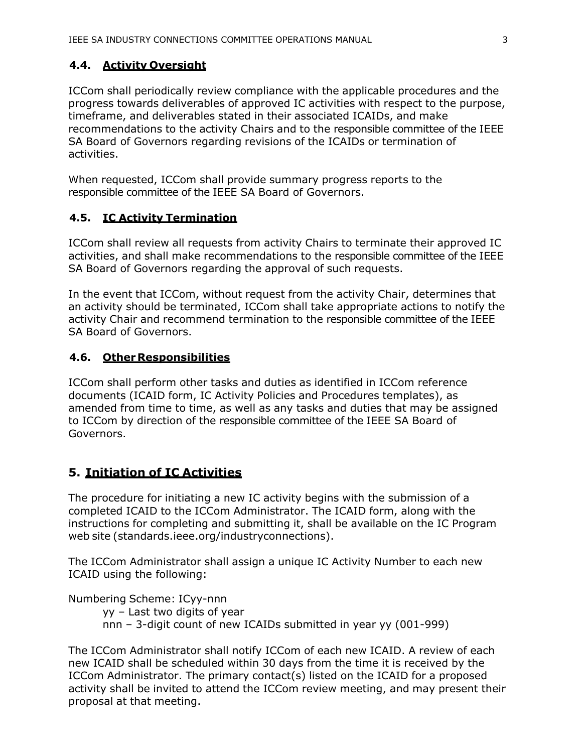### <span id="page-4-0"></span>**4.4. Activity Oversight**

ICCom shall periodically review compliance with the applicable procedures and the progress towards deliverables of approved IC activities with respect to the purpose, timeframe, and deliverables stated in their associated ICAIDs, and make recommendations to the activity Chairs and to the responsible committee of the IEEE SA Board of Governors regarding revisions of the ICAIDs or termination of activities.

When requested, ICCom shall provide summary progress reports to the responsible committee of the IEEE SA Board of Governors.

### <span id="page-4-1"></span>**4.5. IC Activity Termination**

ICCom shall review all requests from activity Chairs to terminate their approved IC activities, and shall make recommendations to the responsible committee of the IEEE SA Board of Governors regarding the approval of such requests.

In the event that ICCom, without request from the activity Chair, determines that an activity should be terminated, ICCom shall take appropriate actions to notify the activity Chair and recommend termination to the responsible committee of the IEEE SA Board of Governors.

#### <span id="page-4-2"></span>**4.6. Other Responsibilities**

ICCom shall perform other tasks and duties as identified in ICCom reference documents (ICAID form, IC Activity Policies and Procedures templates), as amended from time to time, as well as any tasks and duties that may be assigned to ICCom by direction of the responsible committee of the IEEE SA Board of Governors.

### <span id="page-4-3"></span>**5. Initiation of IC Activities**

The procedure for initiating a new IC activity begins with the submission of a completed ICAID to the ICCom Administrator. The ICAID form, along with the instructions for completing and submitting it, shall be available on the IC Program web site (standards.ieee.org/industryconnections).

The ICCom Administrator shall assign a unique IC Activity Number to each new ICAID using the following:

Numbering Scheme: ICyy-nnn

yy – Last two digits of year nnn – 3-digit count of new ICAIDs submitted in year yy (001-999)

The ICCom Administrator shall notify ICCom of each new ICAID. A review of each new ICAID shall be scheduled within 30 days from the time it is received by the ICCom Administrator. The primary contact(s) listed on the ICAID for a proposed activity shall be invited to attend the ICCom review meeting, and may present their proposal at that meeting.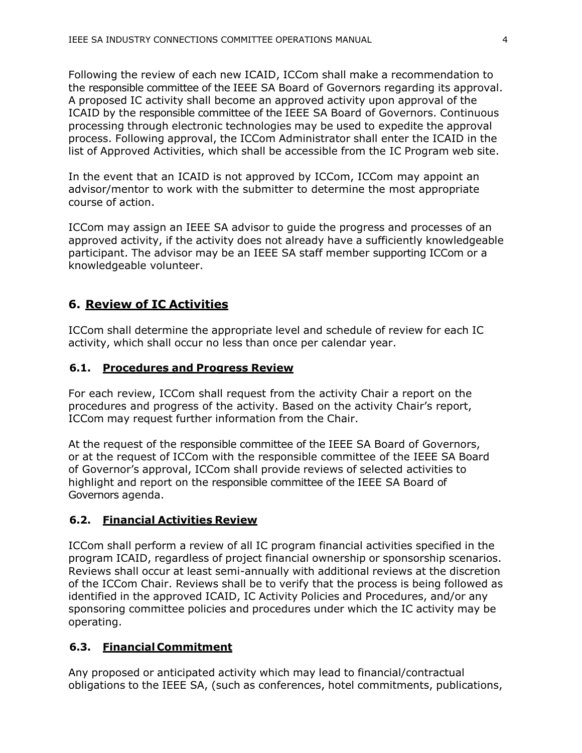Following the review of each new ICAID, ICCom shall make a recommendation to the responsible committee of the IEEE SA Board of Governors regarding its approval. A proposed IC activity shall become an approved activity upon approval of the ICAID by the responsible committee of the IEEE SA Board of Governors. Continuous processing through electronic technologies may be used to expedite the approval process. Following approval, the ICCom Administrator shall enter the ICAID in the list of Approved Activities, which shall be accessible from the IC Program web site.

In the event that an ICAID is not approved by ICCom, ICCom may appoint an advisor/mentor to work with the submitter to determine the most appropriate course of action.

ICCom may assign an IEEE SA advisor to guide the progress and processes of an approved activity, if the activity does not already have a sufficiently knowledgeable participant. The advisor may be an IEEE SA staff member supporting ICCom or a knowledgeable volunteer.

### <span id="page-5-0"></span>**6. Review of IC Activities**

ICCom shall determine the appropriate level and schedule of review for each IC activity, which shall occur no less than once per calendar year.

#### <span id="page-5-1"></span>**6.1. Procedures and Progress Review**

For each review, ICCom shall request from the activity Chair a report on the procedures and progress of the activity. Based on the activity Chair's report, ICCom may request further information from the Chair.

At the request of the responsible committee of the IEEE SA Board of Governors, or at the request of ICCom with the responsible committee of the IEEE SA Board of Governor's approval, ICCom shall provide reviews of selected activities to highlight and report on the responsible committee of the IEEE SA Board of Governors agenda.

### <span id="page-5-2"></span>**6.2. Financial Activities Review**

ICCom shall perform a review of all IC program financial activities specified in the program ICAID, regardless of project financial ownership or sponsorship scenarios. Reviews shall occur at least semi-annually with additional reviews at the discretion of the ICCom Chair. Reviews shall be to verify that the process is being followed as identified in the approved ICAID, IC Activity Policies and Procedures, and/or any sponsoring committee policies and procedures under which the IC activity may be operating.

### <span id="page-5-3"></span>**6.3. Financial Commitment**

Any proposed or anticipated activity which may lead to financial/contractual obligations to the IEEE SA, (such as conferences, hotel commitments, publications,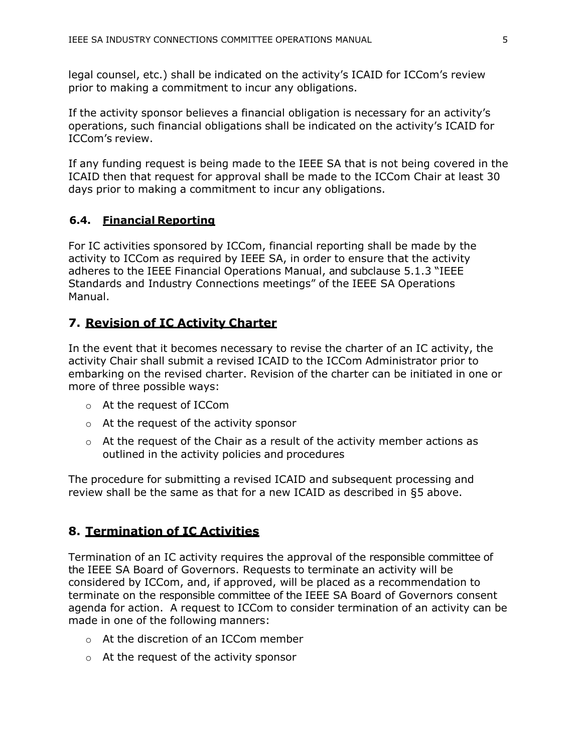legal counsel, etc.) shall be indicated on the activity's ICAID for ICCom's review prior to making a commitment to incur any obligations.

If the activity sponsor believes a financial obligation is necessary for an activity's operations, such financial obligations shall be indicated on the activity's ICAID for ICCom's review.

If any funding request is being made to the IEEE SA that is not being covered in the ICAID then that request for approval shall be made to the ICCom Chair at least 30 days prior to making a commitment to incur any obligations.

### <span id="page-6-0"></span>**6.4. Financial Reporting**

For IC activities sponsored by ICCom, financial reporting shall be made by the activity to ICCom as required by IEEE SA, in order to ensure that the activity adheres to the IEEE Financial Operations Manual, and subclause 5.1.3 "IEEE Standards and Industry Connections meetings" of the IEEE SA Operations Manual.

### <span id="page-6-1"></span>**7. Revision of IC Activity Charter**

In the event that it becomes necessary to revise the charter of an IC activity, the activity Chair shall submit a revised ICAID to the ICCom Administrator prior to embarking on the revised charter. Revision of the charter can be initiated in one or more of three possible ways:

- o At the request of ICCom
- o At the request of the activity sponsor
- $\circ$  At the request of the Chair as a result of the activity member actions as outlined in the activity policies and procedures

The procedure for submitting a revised ICAID and subsequent processing and review shall be the same as that for a new ICAID as described in [§5](#page-4-3) above.

### <span id="page-6-2"></span>**8. Termination of IC Activities**

Termination of an IC activity requires the approval of the responsible committee of the IEEE SA Board of Governors. Requests to terminate an activity will be considered by ICCom, and, if approved, will be placed as a recommendation to terminate on the responsible committee of the IEEE SA Board of Governors consent agenda for action. A request to ICCom to consider termination of an activity can be made in one of the following manners:

- o At the discretion of an ICCom member
- o At the request of the activity sponsor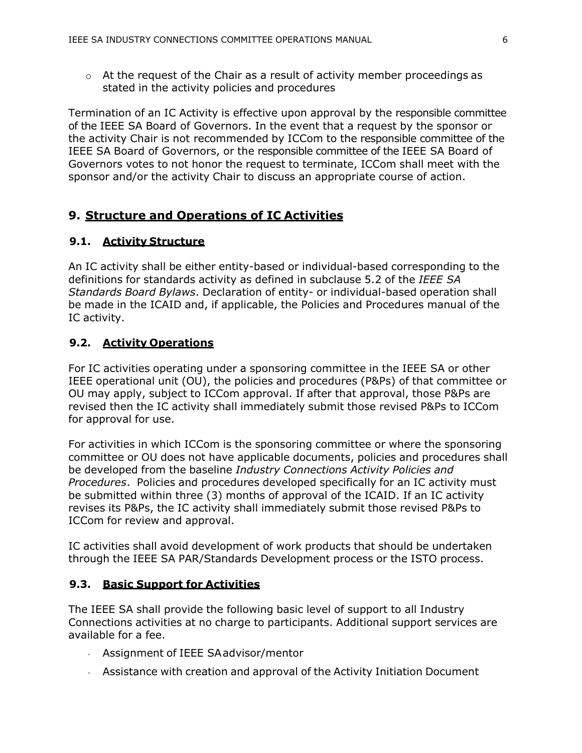$\circ$  At the request of the Chair as a result of activity member proceedings as stated in the activity policies and procedures

Termination of an IC Activity is effective upon approval by the responsible committee of the IEEE SA Board of Governors. In the event that a request by the sponsor or the activity Chair is not recommended by ICCom to the responsible committee of the IEEE SA Board of Governors, or the responsible committee of the IEEE SA Board of Governors votes to not honor the request to terminate, ICCom shall meet with the sponsor and/or the activity Chair to discuss an appropriate course of action.

### <span id="page-7-0"></span>**9. Structure and Operations of IC Activities**

### <span id="page-7-1"></span>**9.1. Activity Structure**

An IC activity shall be either entity-based or individual-based corresponding to the definitions for standards activity as defined in subclause 5.2 of the *IEEE SA Standards Board Bylaws*. Declaration of entity- or individual-based operation shall be made in the ICAID and, if applicable, the Policies and Procedures manual of the IC activity.

### <span id="page-7-2"></span>**9.2. Activity Operations**

For IC activities operating under a sponsoring committee in the IEEE SA or other IEEE operational unit (OU), the policies and procedures (P&Ps) of that committee or OU may apply, subject to ICCom approval. If after that approval, those P&Ps are revised then the IC activity shall immediately submit those revised P&Ps to ICCom for approval for use.

For activities in which ICCom is the sponsoring committee or where the sponsoring committee or OU does not have applicable documents, policies and procedures shall be developed from the baseline *Industry Connections Activity Policies and Procedures*. Policies and procedures developed specifically for an IC activity must be submitted within three (3) months of approval of the ICAID. If an IC activity revises its P&Ps, the IC activity shall immediately submit those revised P&Ps to ICCom for review and approval.

IC activities shall avoid development of work products that should be undertaken through the IEEE SA PAR/Standards Development process or the ISTO process.

#### <span id="page-7-3"></span>**9.3. Basic Support for Activities**

The IEEE SA shall provide the following basic level of support to all Industry Connections activities at no charge to participants. Additional support services are available for a fee.

- Assignment of IEEE SAadvisor/mentor
- Assistance with creation and approval of the Activity Initiation Document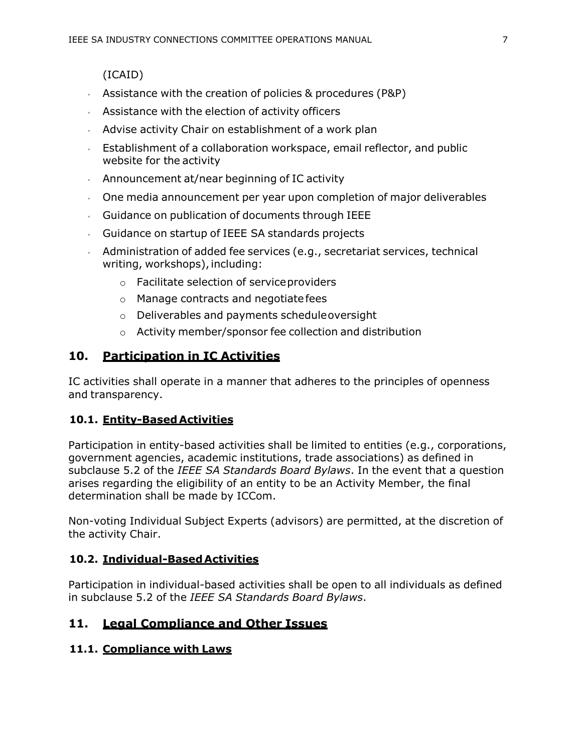(ICAID)

- Assistance with the creation of policies  $&$  procedures (P&P)
- $\sim$  Assistance with the election of activity officers
- $\sim$  Advise activity Chair on establishment of a work plan
- **Establishment of a collaboration workspace, email reflector, and public** website for the activity
- Announcement at/near beginning of IC activity
- One media announcement per year upon completion of major deliverables
- $\sqrt{a}$  Guidance on publication of documents through IEEE
- Guidance on startup of IEEE SA standards projects
- Administration of added fee services (e.g., secretariat services, technical writing, workshops), including:
	- o Facilitate selection of serviceproviders
	- o Manage contracts and negotiatefees
	- o Deliverables and payments scheduleoversight
	- o Activity member/sponsor fee collection and distribution

# <span id="page-8-0"></span>**10. Participation in IC Activities**

IC activities shall operate in a manner that adheres to the principles of openness and transparency.

# <span id="page-8-1"></span>**10.1. Entity-BasedActivities**

Participation in entity-based activities shall be limited to entities (e.g., corporations, government agencies, academic institutions, trade associations) as defined in subclause 5.2 of the *IEEE SA Standards Board Bylaws*. In the event that a question arises regarding the eligibility of an entity to be an Activity Member, the final determination shall be made by ICCom.

Non-voting Individual Subject Experts (advisors) are permitted, at the discretion of the activity Chair.

# <span id="page-8-2"></span>**10.2. Individual-BasedActivities**

Participation in individual-based activities shall be open to all individuals as defined in subclause 5.2 of the *IEEE SA Standards Board Bylaws*.

# <span id="page-8-3"></span>**11. Legal Compliance and Other Issues**

# <span id="page-8-4"></span>**11.1. Compliance with Laws**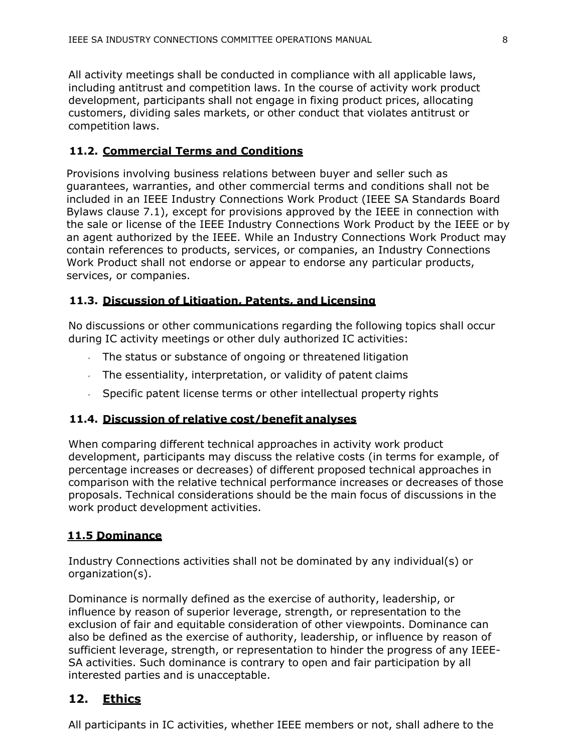All activity meetings shall be conducted in compliance with all applicable laws, including antitrust and competition laws. In the course of activity work product development, participants shall not engage in fixing product prices, allocating customers, dividing sales markets, or other conduct that violates antitrust or competition laws.

### **11.2. Commercial Terms and Conditions**

Provisions involving business relations between buyer and seller such as guarantees, warranties, and other commercial terms and conditions shall not be included in an IEEE Industry Connections Work Product (IEEE SA Standards Board Bylaws clause 7.1), except for provisions approved by the IEEE in connection with the sale or license of the IEEE Industry Connections Work Product by the IEEE or by an agent authorized by the IEEE. While an Industry Connections Work Product may contain references to products, services, or companies, an Industry Connections Work Product shall not endorse or appear to endorse any particular products, services, or companies.

### <span id="page-9-0"></span>**11.3. Discussion of Litigation, Patents, and Licensing**

No discussions or other communications regarding the following topics shall occur during IC activity meetings or other duly authorized IC activities:

- $\sqrt{ }$  The status or substance of ongoing or threatened litigation
- $\sim$  The essentiality, interpretation, or validity of patent claims
- Specific patent license terms or other intellectual property rights

### <span id="page-9-1"></span>**11.4. Discussion of relative cost/benefit analyses**

When comparing different technical approaches in activity work product development, participants may discuss the relative costs (in terms for example, of percentage increases or decreases) of different proposed technical approaches in comparison with the relative technical performance increases or decreases of those proposals. Technical considerations should be the main focus of discussions in the work product development activities.

### **11.5 Dominance**

Industry Connections activities shall not be dominated by any individual(s) or organization(s).

Dominance is normally defined as the exercise of authority, leadership, or influence by reason of superior leverage, strength, or representation to the exclusion of fair and equitable consideration of other viewpoints. Dominance can also be defined as the exercise of authority, leadership, or influence by reason of sufficient leverage, strength, or representation to hinder the progress of any IEEE-SA activities. Such dominance is contrary to open and fair participation by all interested parties and is unacceptable.

# <span id="page-9-2"></span>**12. Ethics**

All participants in IC activities, whether IEEE members or not, shall adhere to the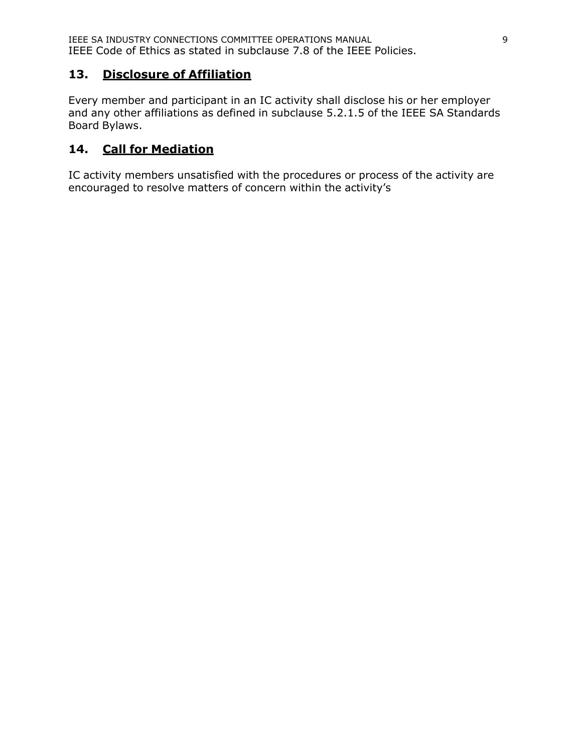# <span id="page-10-0"></span>**13. Disclosure of Affiliation**

Every member and participant in an IC activity shall disclose his or her employer and any other affiliations as defined in subclause 5.2.1.5 of the IEEE SA Standards Board Bylaws.

# <span id="page-10-1"></span>**14. Call for Mediation**

IC activity members unsatisfied with the procedures or process of the activity are encouraged to resolve matters of concern within the activity's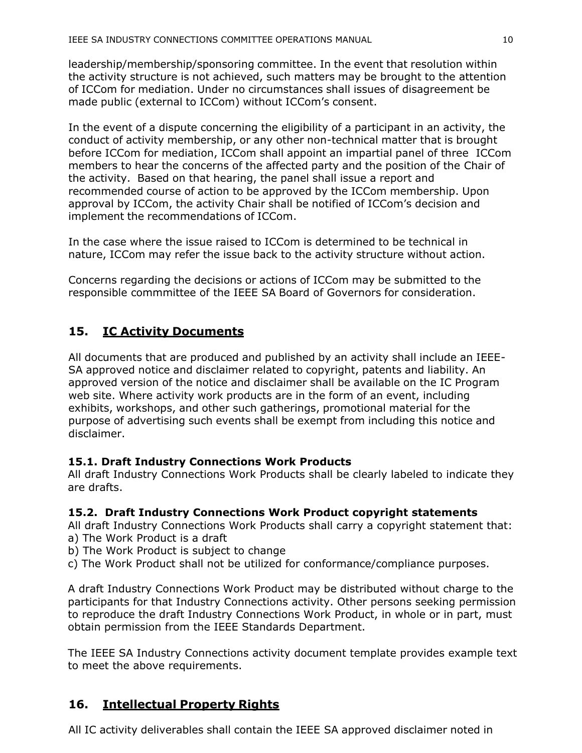leadership/membership/sponsoring committee. In the event that resolution within the activity structure is not achieved, such matters may be brought to the attention of ICCom for mediation. Under no circumstances shall issues of disagreement be made public (external to ICCom) without ICCom's consent.

In the event of a dispute concerning the eligibility of a participant in an activity, the conduct of activity membership, or any other non-technical matter that is brought before ICCom for mediation, ICCom shall appoint an impartial panel of three ICCom members to hear the concerns of the affected party and the position of the Chair of the activity. Based on that hearing, the panel shall issue a report and recommended course of action to be approved by the ICCom membership. Upon approval by ICCom, the activity Chair shall be notified of ICCom's decision and implement the recommendations of ICCom.

In the case where the issue raised to ICCom is determined to be technical in nature, ICCom may refer the issue back to the activity structure without action.

Concerns regarding the decisions or actions of ICCom may be submitted to the responsible commmittee of the IEEE SA Board of Governors for consideration.

# <span id="page-11-0"></span>**15. IC Activity Documents**

All documents that are produced and published by an activity shall include an IEEE-SA approved notice and disclaimer related to copyright, patents and liability. An approved version of the notice and disclaimer shall be available on the IC Program web site. Where activity work products are in the form of an event, including exhibits, workshops, and other such gatherings, promotional material for the purpose of advertising such events shall be exempt from including this notice and disclaimer.

# **15.1. Draft Industry Connections Work Products**

All draft Industry Connections Work Products shall be clearly labeled to indicate they are drafts.

### **15.2. Draft Industry Connections Work Product copyright statements**

All draft Industry Connections Work Products shall carry a copyright statement that: a) The Work Product is a draft

- b) The Work Product is subject to change
- c) The Work Product shall not be utilized for conformance/compliance purposes.

A draft Industry Connections Work Product may be distributed without charge to the participants for that Industry Connections activity. Other persons seeking permission to reproduce the draft Industry Connections Work Product, in whole or in part, must obtain permission from the IEEE Standards Department.

The IEEE SA Industry Connections activity document template provides example text to meet the above requirements.

# <span id="page-11-1"></span>**16. Intellectual Property Rights**